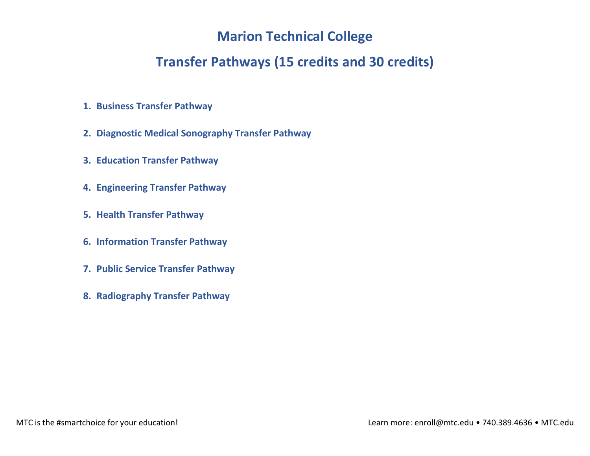# **Marion Technical College**

# **Transfer Pathways (15 credits and 30 credits)**

- **1. Business Transfer Pathway**
- **2. Diagnostic Medical Sonography Transfer Pathway**
- **3. Education Transfer Pathway**
- **4. Engineering Transfer Pathway**
- **5. Health Transfer Pathway**
- **6. Information Transfer Pathway**
- **7. Public Service Transfer Pathway**
- **8. Radiography Transfer Pathway**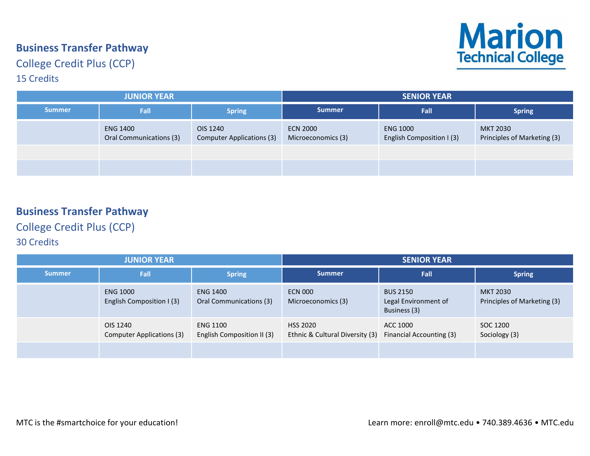#### **Business Transfer Pathway**

**Marion**<br>Technical College

# College Credit Plus (CCP)

#### 15 Credits

| <b>JUNIOR YEAR</b> |                                            |                                       | <b>SENIOR YEAR</b>                    |                                              |                                         |  |
|--------------------|--------------------------------------------|---------------------------------------|---------------------------------------|----------------------------------------------|-----------------------------------------|--|
| <b>Summer</b>      | Fall                                       | <b>Spring</b>                         | <b>Summer</b>                         | Fall                                         | <b>Spring</b>                           |  |
|                    | <b>ENG 1400</b><br>Oral Communications (3) | OIS 1240<br>Computer Applications (3) | <b>ECN 2000</b><br>Microeconomics (3) | <b>ENG 1000</b><br>English Composition I (3) | MKT 2030<br>Principles of Marketing (3) |  |
|                    |                                            |                                       |                                       |                                              |                                         |  |
|                    |                                            |                                       |                                       |                                              |                                         |  |

## **Business Transfer Pathway**

College Credit Plus (CCP)

| <b>JUNIOR YEAR</b> |                                              |                                               | <b>SENIOR YEAR</b>                                 |                                                         |                                         |
|--------------------|----------------------------------------------|-----------------------------------------------|----------------------------------------------------|---------------------------------------------------------|-----------------------------------------|
| <b>Summer</b>      | Fall                                         | <b>Spring</b>                                 | <b>Summer</b>                                      | Fall                                                    | <b>Spring</b>                           |
|                    | <b>ENG 1000</b><br>English Composition I (3) | <b>ENG 1400</b><br>Oral Communications (3)    | <b>ECN 000</b><br>Microeconomics (3)               | <b>BUS 2150</b><br>Legal Environment of<br>Business (3) | MKT 2030<br>Principles of Marketing (3) |
|                    | OIS 1240<br>Computer Applications (3)        | <b>ENG 1100</b><br>English Composition II (3) | <b>HSS 2020</b><br>Ethnic & Cultural Diversity (3) | ACC 1000<br>Financial Accounting (3)                    | SOC 1200<br>Sociology (3)               |
|                    |                                              |                                               |                                                    |                                                         |                                         |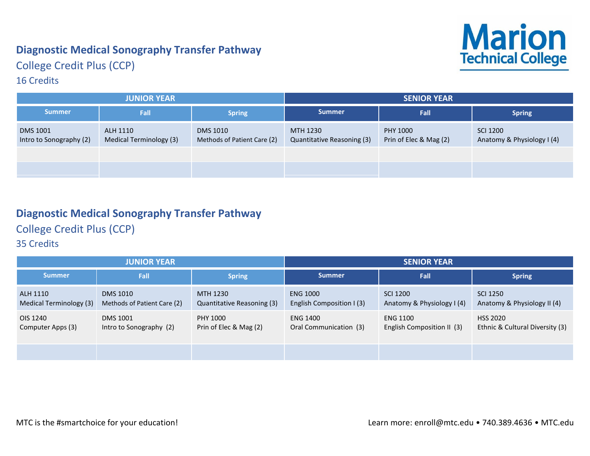# **Diagnostic Medical Sonography Transfer Pathway**



# College Credit Plus (CCP)

#### 16 Credits

| <b>JUNIOR YEAR</b>                         |                                     |                                                | <b>SENIOR YEAR</b>                     |                                    |                                               |
|--------------------------------------------|-------------------------------------|------------------------------------------------|----------------------------------------|------------------------------------|-----------------------------------------------|
| <b>Summer</b>                              | Fall                                | Spring                                         | <b>Summer</b>                          | <b>Fall</b>                        | <b>Spring</b>                                 |
| <b>DMS 1001</b><br>Intro to Sonography (2) | ALH 1110<br>Medical Terminology (3) | <b>DMS 1010</b><br>Methods of Patient Care (2) | MTH 1230<br>Quantitative Reasoning (3) | PHY 1000<br>Prin of Elec & Mag (2) | <b>SCI 1200</b><br>Anatomy & Physiology I (4) |
|                                            |                                     |                                                |                                        |                                    |                                               |
|                                            |                                     |                                                |                                        |                                    |                                               |

## **Diagnostic Medical Sonography Transfer Pathway**

College Credit Plus (CCP)

| <b>JUNIOR YEAR</b>                  |                                                |                                        | <b>SENIOR YEAR</b>                           |                                               |                                                    |
|-------------------------------------|------------------------------------------------|----------------------------------------|----------------------------------------------|-----------------------------------------------|----------------------------------------------------|
| <b>Summer</b>                       | Fall                                           | <b>Spring</b>                          | <b>Summer</b>                                | Fall                                          | <b>Spring</b>                                      |
| ALH 1110<br>Medical Terminology (3) | <b>DMS 1010</b><br>Methods of Patient Care (2) | MTH 1230<br>Quantitative Reasoning (3) | <b>ENG 1000</b><br>English Composition I (3) | <b>SCI 1200</b><br>Anatomy & Physiology I (4) | SCI 1250<br>Anatomy & Physiology II (4)            |
| OIS 1240<br>Computer Apps (3)       | <b>DMS 1001</b><br>Intro to Sonography (2)     | PHY 1000<br>Prin of Elec & Mag (2)     | <b>ENG 1400</b><br>Oral Communication (3)    | <b>ENG 1100</b><br>English Composition II (3) | <b>HSS 2020</b><br>Ethnic & Cultural Diversity (3) |
|                                     |                                                |                                        |                                              |                                               |                                                    |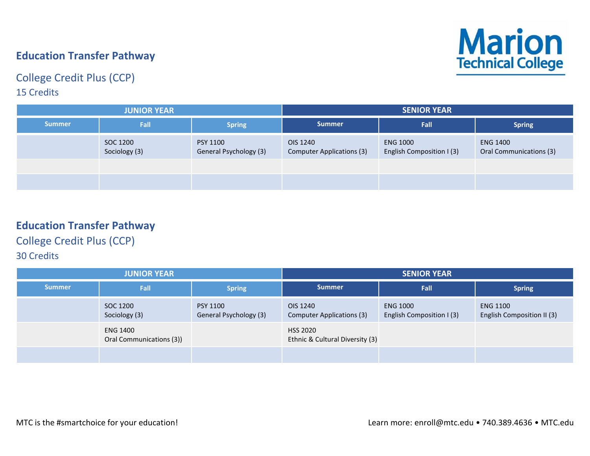# **Education Transfer Pathway**

#### College Credit Plus (CCP) 15 Credits



| <b>JUNIOR YEAR</b> |                           |                                           | <b>SENIOR YEAR</b>                    |                                              |                                            |  |
|--------------------|---------------------------|-------------------------------------------|---------------------------------------|----------------------------------------------|--------------------------------------------|--|
| <b>Summer</b>      | Fall                      | <b>Spring</b>                             | <b>Summer</b>                         | <b>Fall</b>                                  | <b>Spring</b>                              |  |
|                    | SOC 1200<br>Sociology (3) | <b>PSY 1100</b><br>General Psychology (3) | OIS 1240<br>Computer Applications (3) | <b>ENG 1000</b><br>English Composition I (3) | <b>ENG 1400</b><br>Oral Communications (3) |  |
|                    |                           |                                           |                                       |                                              |                                            |  |
|                    |                           |                                           |                                       |                                              |                                            |  |

#### **Education Transfer Pathway**

## College Credit Plus (CCP)

| <b>JUNIOR YEAR</b> |                                             |                                           | <b>SENIOR YEAR</b>                                 |                                              |                                               |
|--------------------|---------------------------------------------|-------------------------------------------|----------------------------------------------------|----------------------------------------------|-----------------------------------------------|
| <b>Summer</b>      | Fall                                        | <b>Spring</b>                             | <b>Summer</b>                                      | Fall                                         | <b>Spring</b>                                 |
|                    | SOC 1200<br>Sociology (3)                   | <b>PSY 1100</b><br>General Psychology (3) | OIS 1240<br>Computer Applications (3)              | <b>ENG 1000</b><br>English Composition I (3) | <b>ENG 1100</b><br>English Composition II (3) |
|                    | <b>ENG 1400</b><br>Oral Communications (3)) |                                           | <b>HSS 2020</b><br>Ethnic & Cultural Diversity (3) |                                              |                                               |
|                    |                                             |                                           |                                                    |                                              |                                               |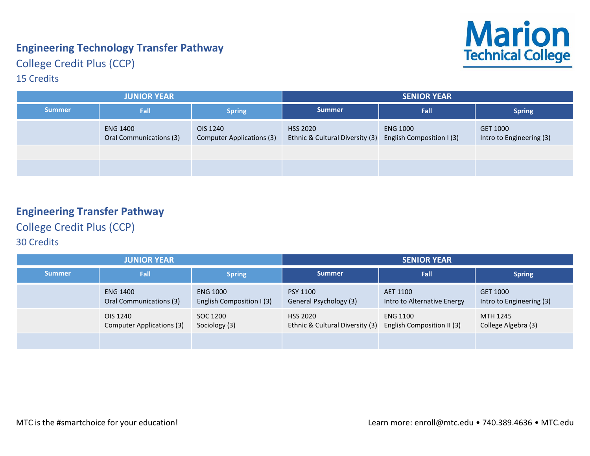# **Engineering Technology Transfer Pathway**



College Credit Plus (CCP)

#### 15 Credits

| <b>JUNIOR YEAR</b> |                                            |                                       | <b>SENIOR YEAR</b>                                 |                                              |                                      |  |
|--------------------|--------------------------------------------|---------------------------------------|----------------------------------------------------|----------------------------------------------|--------------------------------------|--|
| <b>Summer</b>      | Fall                                       | <b>Spring</b>                         | <b>Summer</b>                                      | <b>Fall</b>                                  | <b>Spring</b>                        |  |
|                    | <b>ENG 1400</b><br>Oral Communications (3) | OIS 1240<br>Computer Applications (3) | <b>HSS 2020</b><br>Ethnic & Cultural Diversity (3) | <b>ENG 1000</b><br>English Composition I (3) | GET 1000<br>Intro to Engineering (3) |  |
|                    |                                            |                                       |                                                    |                                              |                                      |  |
|                    |                                            |                                       |                                                    |                                              |                                      |  |

# **Engineering Transfer Pathway**

College Credit Plus (CCP)

| <b>JUNIOR YEAR</b> |                                            |                                              | <b>SENIOR YEAR</b>                                 |                                               |                                      |
|--------------------|--------------------------------------------|----------------------------------------------|----------------------------------------------------|-----------------------------------------------|--------------------------------------|
| <b>Summer</b>      | Fall                                       | <b>Spring</b>                                | <b>Summer</b>                                      | Fall                                          | <b>Spring</b>                        |
|                    | <b>ENG 1400</b><br>Oral Communications (3) | <b>ENG 1000</b><br>English Composition I (3) | <b>PSY 1100</b><br>General Psychology (3)          | AET 1100<br>Intro to Alternative Energy       | GET 1000<br>Intro to Engineering (3) |
|                    | OIS 1240<br>Computer Applications (3)      | SOC 1200<br>Sociology (3)                    | <b>HSS 2020</b><br>Ethnic & Cultural Diversity (3) | <b>ENG 1100</b><br>English Composition II (3) | MTH 1245<br>College Algebra (3)      |
|                    |                                            |                                              |                                                    |                                               |                                      |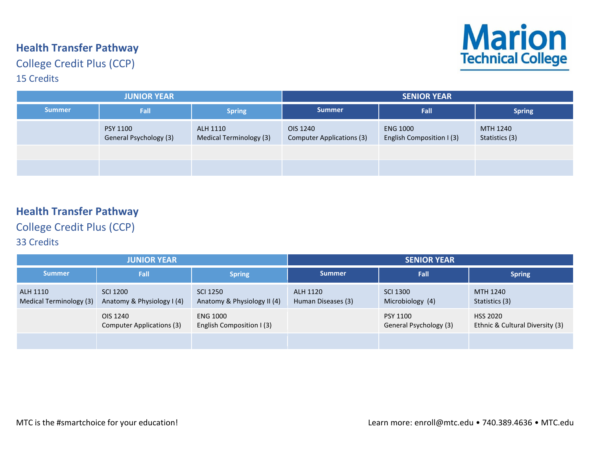# **Health Transfer Pathway**

College Credit Plus (CCP) 15 Credits



| <b>JUNIOR YEAR</b> |                                           |                                     | <b>SENIOR YEAR</b>                           |                                              |                            |  |
|--------------------|-------------------------------------------|-------------------------------------|----------------------------------------------|----------------------------------------------|----------------------------|--|
| <b>Summer</b>      | Fall                                      | Spring                              | <b>Summer</b>                                | <b>Fall</b>                                  | <b>Spring</b>              |  |
|                    | <b>PSY 1100</b><br>General Psychology (3) | ALH 1110<br>Medical Terminology (3) | OIS 1240<br><b>Computer Applications (3)</b> | <b>ENG 1000</b><br>English Composition I (3) | MTH 1240<br>Statistics (3) |  |
|                    |                                           |                                     |                                              |                                              |                            |  |
|                    |                                           |                                     |                                              |                                              |                            |  |

## **Health Transfer Pathway**

College Credit Plus (CCP)

| <b>JUNIOR YEAR</b>                  |                                        |                                              | <b>SENIOR YEAR</b>             |                                     |                                                    |
|-------------------------------------|----------------------------------------|----------------------------------------------|--------------------------------|-------------------------------------|----------------------------------------------------|
| <b>Summer</b>                       | Fall                                   | <b>Spring</b>                                | <b>Summer</b>                  | Fall                                | <b>Spring</b>                                      |
| ALH 1110<br>Medical Terminology (3) | SCI 1200<br>Anatomy & Physiology I (4) | SCI 1250<br>Anatomy & Physiology II (4)      | ALH 1120<br>Human Diseases (3) | <b>SCI 1300</b><br>Microbiology (4) | MTH 1240<br>Statistics (3)                         |
|                                     | OIS 1240<br>Computer Applications (3)  | <b>ENG 1000</b><br>English Composition I (3) |                                | PSY 1100<br>General Psychology (3)  | <b>HSS 2020</b><br>Ethnic & Cultural Diversity (3) |
|                                     |                                        |                                              |                                |                                     |                                                    |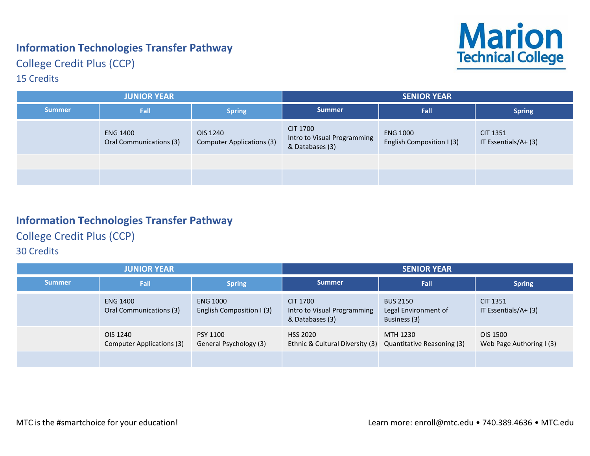# **Information Technologies Transfer Pathway**



College Credit Plus (CCP)

#### 15 Credits

| <b>JUNIOR YEAR</b> |                                            |                                              | <b>SENIOR YEAR</b>                                         |                                              |                                 |  |
|--------------------|--------------------------------------------|----------------------------------------------|------------------------------------------------------------|----------------------------------------------|---------------------------------|--|
| <b>Summer</b>      | <b>Fall</b>                                | <b>Spring</b>                                | <b>Summer</b>                                              | <b>Fall</b>                                  | <b>Spring</b>                   |  |
|                    | <b>ENG 1400</b><br>Oral Communications (3) | OIS 1240<br><b>Computer Applications (3)</b> | CIT 1700<br>Intro to Visual Programming<br>& Databases (3) | <b>ENG 1000</b><br>English Composition I (3) | CIT 1351<br>IT Essentials/A+(3) |  |
|                    |                                            |                                              |                                                            |                                              |                                 |  |
|                    |                                            |                                              |                                                            |                                              |                                 |  |

# **Information Technologies Transfer Pathway**

College Credit Plus (CCP)

| <b>JUNIOR YEAR</b> |                                            |                                              | <b>SENIOR YEAR</b>                                         |                                                         |                                      |
|--------------------|--------------------------------------------|----------------------------------------------|------------------------------------------------------------|---------------------------------------------------------|--------------------------------------|
| <b>Summer</b>      | Fall                                       | <b>Spring</b>                                | <b>Summer</b>                                              | Fall                                                    | <b>Spring</b>                        |
|                    | <b>ENG 1400</b><br>Oral Communications (3) | <b>ENG 1000</b><br>English Composition I (3) | CIT 1700<br>Intro to Visual Programming<br>& Databases (3) | <b>BUS 2150</b><br>Legal Environment of<br>Business (3) | CIT 1351<br>IT Essentials/ $A + (3)$ |
|                    | OIS 1240<br>Computer Applications (3)      | PSY 1100<br>General Psychology (3)           | <b>HSS 2020</b><br>Ethnic & Cultural Diversity (3)         | MTH 1230<br>Quantitative Reasoning (3)                  | OIS 1500<br>Web Page Authoring I (3) |
|                    |                                            |                                              |                                                            |                                                         |                                      |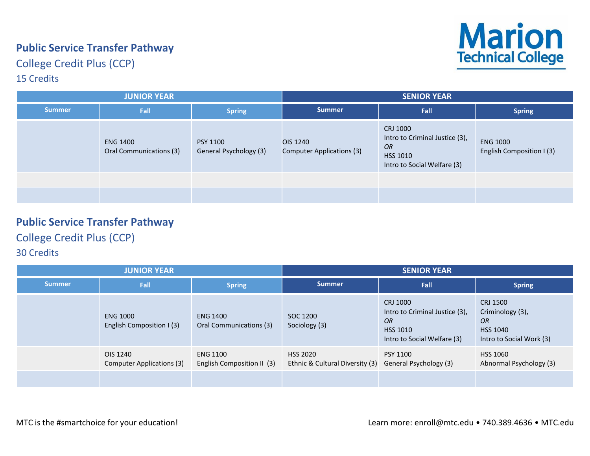# **Public Service Transfer Pathway**

College Credit Plus (CCP)

#### 15 Credits



| <b>JUNIOR YEAR</b> |                                            |                                           | <b>SENIOR YEAR</b>                    |                                                                                                           |                                              |
|--------------------|--------------------------------------------|-------------------------------------------|---------------------------------------|-----------------------------------------------------------------------------------------------------------|----------------------------------------------|
| <b>Summer</b>      | Fall                                       | <b>Spring</b>                             | <b>Summer</b>                         | Fall                                                                                                      | <b>Spring</b>                                |
|                    | <b>ENG 1400</b><br>Oral Communications (3) | <b>PSY 1100</b><br>General Psychology (3) | OIS 1240<br>Computer Applications (3) | CRJ 1000<br>Intro to Criminal Justice (3),<br><b>OR</b><br><b>HSS 1010</b><br>Intro to Social Welfare (3) | <b>ENG 1000</b><br>English Composition I (3) |
|                    |                                            |                                           |                                       |                                                                                                           |                                              |
|                    |                                            |                                           |                                       |                                                                                                           |                                              |

## **Public Service Transfer Pathway**

College Credit Plus (CCP)

| <b>JUNIOR YEAR</b> |                                              |                                               | <b>SENIOR YEAR</b>                                 |                                                                                                           |                                                                                          |
|--------------------|----------------------------------------------|-----------------------------------------------|----------------------------------------------------|-----------------------------------------------------------------------------------------------------------|------------------------------------------------------------------------------------------|
| <b>Summer</b>      | Fall                                         | <b>Spring</b>                                 | <b>Summer</b>                                      | Fall                                                                                                      | <b>Spring</b>                                                                            |
|                    | <b>ENG 1000</b><br>English Composition I (3) | <b>ENG 1400</b><br>Oral Communications (3)    | SOC 1200<br>Sociology (3)                          | CRJ 1000<br>Intro to Criminal Justice (3),<br><b>OR</b><br><b>HSS 1010</b><br>Intro to Social Welfare (3) | CRJ 1500<br>Criminology (3),<br><b>OR</b><br><b>HSS 1040</b><br>Intro to Social Work (3) |
|                    | OIS 1240<br>Computer Applications (3)        | <b>ENG 1100</b><br>English Composition II (3) | <b>HSS 2020</b><br>Ethnic & Cultural Diversity (3) | <b>PSY 1100</b><br>General Psychology (3)                                                                 | <b>HSS 1060</b><br>Abnormal Psychology (3)                                               |
|                    |                                              |                                               |                                                    |                                                                                                           |                                                                                          |